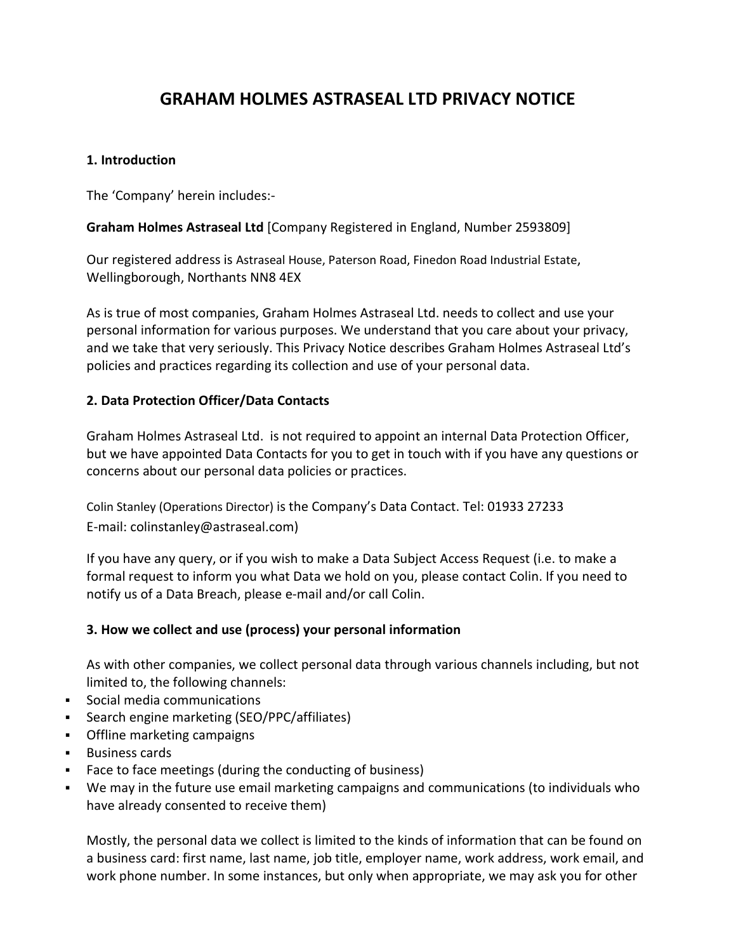# **GRAHAM HOLMES ASTRASEAL LTD PRIVACY NOTICE**

# **1. Introduction**

The 'Company' herein includes:-

# **Graham Holmes Astraseal Ltd** [Company Registered in England, Number 2593809]

Our registered address is Astraseal House, Paterson Road, Finedon Road Industrial Estate, Wellingborough, Northants NN8 4EX

As is true of most companies, Graham Holmes Astraseal Ltd. needs to collect and use your personal information for various purposes. We understand that you care about your privacy, and we take that very seriously. This Privacy Notice describes Graham Holmes Astraseal Ltd's policies and practices regarding its collection and use of your personal data.

# **2. Data Protection Officer/Data Contacts**

Graham Holmes Astraseal Ltd. is not required to appoint an internal Data Protection Officer, but we have appointed Data Contacts for you to get in touch with if you have any questions or concerns about our personal data policies or practices.

Colin Stanley (Operations Director) is the Company's Data Contact. Tel: 01933 27233 E-mail: colinstanley@astraseal.com)

If you have any query, or if you wish to make a Data Subject Access Request (i.e. to make a formal request to inform you what Data we hold on you, please contact Colin. If you need to notify us of a Data Breach, please e-mail and/or call Colin.

## **3. How we collect and use (process) your personal information**

As with other companies, we collect personal data through various channels including, but not limited to, the following channels:

- Social media communications
- Search engine marketing (SEO/PPC/affiliates)
- **Offline marketing campaigns**
- **Business cards**
- Face to face meetings (during the conducting of business)
- We may in the future use email marketing campaigns and communications (to individuals who have already consented to receive them)

Mostly, the personal data we collect is limited to the kinds of information that can be found on a business card: first name, last name, job title, employer name, work address, work email, and work phone number. In some instances, but only when appropriate, we may ask you for other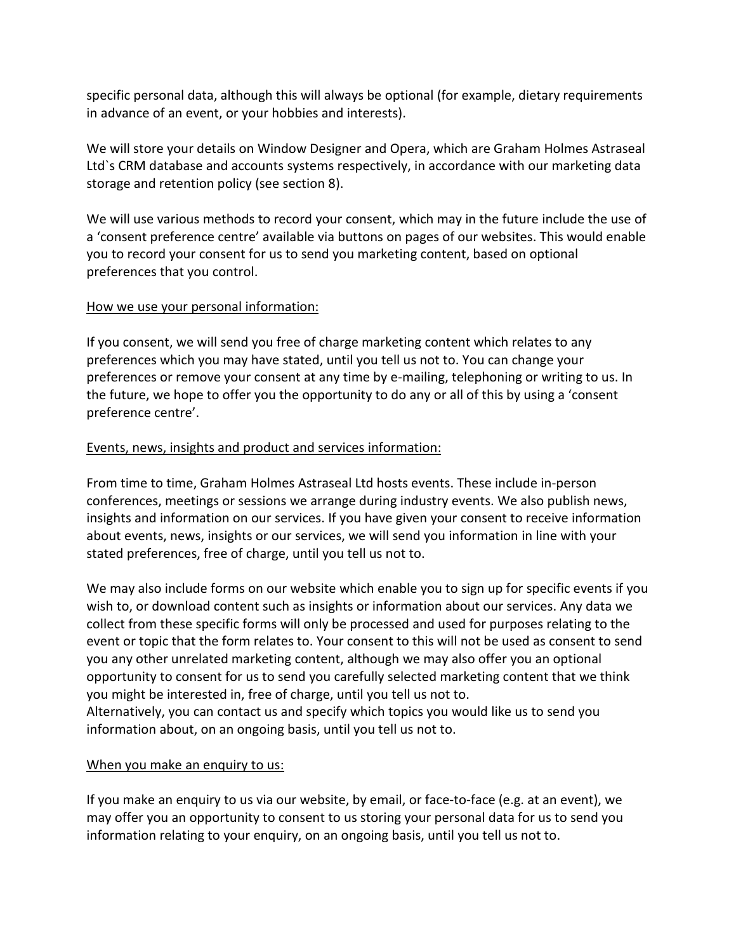specific personal data, although this will always be optional (for example, dietary requirements in advance of an event, or your hobbies and interests).

We will store your details on Window Designer and Opera, which are Graham Holmes Astraseal Ltd`s CRM database and accounts systems respectively, in accordance with our marketing data storage and retention policy (see section 8).

We will use various methods to record your consent, which may in the future include the use of a 'consent preference centre' available via buttons on pages of our websites. This would enable you to record your consent for us to send you marketing content, based on optional preferences that you control.

# How we use your personal information:

If you consent, we will send you free of charge marketing content which relates to any preferences which you may have stated, until you tell us not to. You can change your preferences or remove your consent at any time by e-mailing, telephoning or writing to us. In the future, we hope to offer you the opportunity to do any or all of this by using a 'consent preference centre'.

# Events, news, insights and product and services information:

From time to time, Graham Holmes Astraseal Ltd hosts events. These include in-person conferences, meetings or sessions we arrange during industry events. We also publish news, insights and information on our services. If you have given your consent to receive information about events, news, insights or our services, we will send you information in line with your stated preferences, free of charge, until you tell us not to.

We may also include forms on our website which enable you to sign up for specific events if you wish to, or download content such as insights or information about our services. Any data we collect from these specific forms will only be processed and used for purposes relating to the event or topic that the form relates to. Your consent to this will not be used as consent to send you any other unrelated marketing content, although we may also offer you an optional opportunity to consent for us to send you carefully selected marketing content that we think you might be interested in, free of charge, until you tell us not to. Alternatively, you can contact us and specify which topics you would like us to send you information about, on an ongoing basis, until you tell us not to.

# When you make an enquiry to us:

If you make an enquiry to us via our website, by email, or face-to-face (e.g. at an event), we may offer you an opportunity to consent to us storing your personal data for us to send you information relating to your enquiry, on an ongoing basis, until you tell us not to.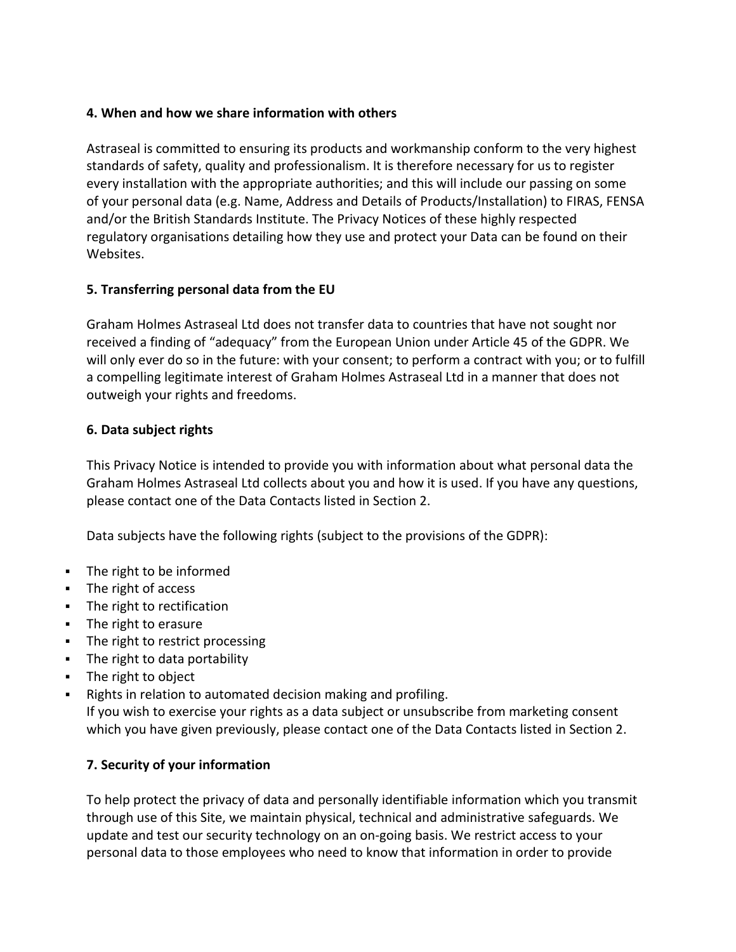# **4. When and how we share information with others**

Astraseal is committed to ensuring its products and workmanship conform to the very highest standards of safety, quality and professionalism. It is therefore necessary for us to register every installation with the appropriate authorities; and this will include our passing on some of your personal data (e.g. Name, Address and Details of Products/Installation) to FIRAS, FENSA and/or the British Standards Institute. The Privacy Notices of these highly respected regulatory organisations detailing how they use and protect your Data can be found on their Websites.

# **5. Transferring personal data from the EU**

Graham Holmes Astraseal Ltd does not transfer data to countries that have not sought nor received a finding of "adequacy" from the European Union under Article 45 of the GDPR. We will only ever do so in the future: with your consent; to perform a contract with you; or to fulfill a compelling legitimate interest of Graham Holmes Astraseal Ltd in a manner that does not outweigh your rights and freedoms.

# **6. Data subject rights**

This Privacy Notice is intended to provide you with information about what personal data the Graham Holmes Astraseal Ltd collects about you and how it is used. If you have any questions, please contact one of the Data Contacts listed in Section 2.

Data subjects have the following rights (subject to the provisions of the GDPR):

- The right to be informed
- The right of access
- The right to rectification
- The right to erasure
- The right to restrict processing
- The right to data portability
- The right to object
- Rights in relation to automated decision making and profiling. If you wish to exercise your rights as a data subject or unsubscribe from marketing consent which you have given previously, please contact one of the Data Contacts listed in Section 2.

# **7. Security of your information**

To help protect the privacy of data and personally identifiable information which you transmit through use of this Site, we maintain physical, technical and administrative safeguards. We update and test our security technology on an on-going basis. We restrict access to your personal data to those employees who need to know that information in order to provide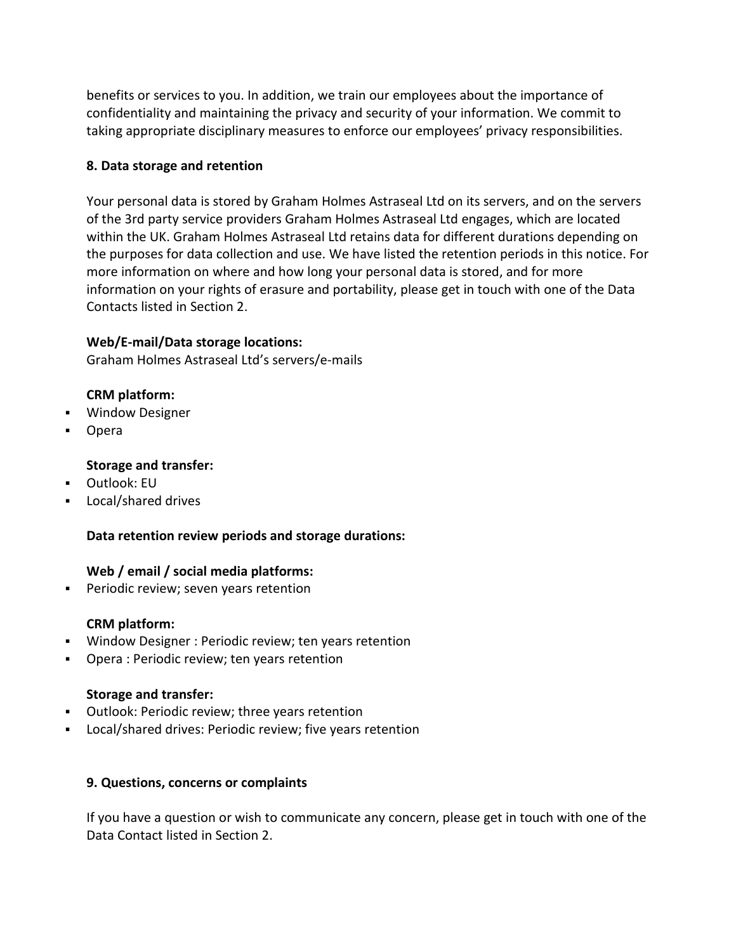benefits or services to you. In addition, we train our employees about the importance of confidentiality and maintaining the privacy and security of your information. We commit to taking appropriate disciplinary measures to enforce our employees' privacy responsibilities.

# **8. Data storage and retention**

Your personal data is stored by Graham Holmes Astraseal Ltd on its servers, and on the servers of the 3rd party service providers Graham Holmes Astraseal Ltd engages, which are located within the UK. Graham Holmes Astraseal Ltd retains data for different durations depending on the purposes for data collection and use. We have listed the retention periods in this notice. For more information on where and how long your personal data is stored, and for more information on your rights of erasure and portability, please get in touch with one of the Data Contacts listed in Section 2.

# **Web/E-mail/Data storage locations:**

Graham Holmes Astraseal Ltd's servers/e-mails

## **CRM platform:**

- Window Designer
- **D**pera

# **Storage and transfer:**

- Outlook: EU
- Local/shared drives

## **Data retention review periods and storage durations:**

## **Web / email / social media platforms:**

**Periodic review; seven years retention** 

## **CRM platform:**

- Window Designer : Periodic review; ten years retention
- Opera : Periodic review; ten years retention

## **Storage and transfer:**

- Outlook: Periodic review; three years retention
- Local/shared drives: Periodic review; five years retention

## **9. Questions, concerns or complaints**

If you have a question or wish to communicate any concern, please get in touch with one of the Data Contact listed in Section 2.